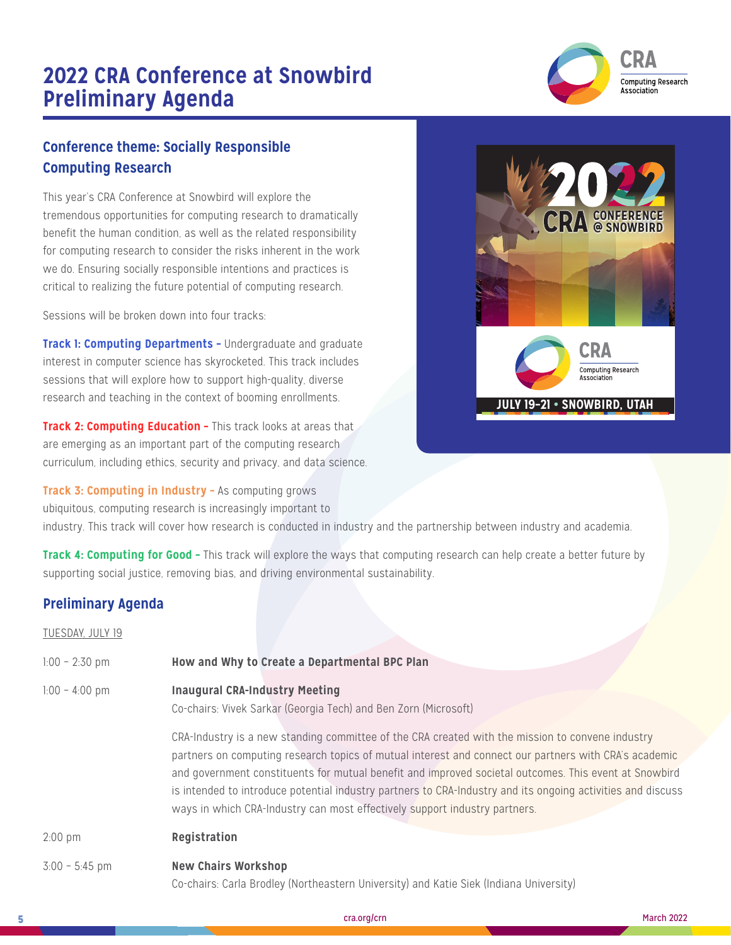# **2022 CRA Conference at Snowbird Preliminary Agenda**



## **Conference theme: Socially Responsible Computing Research**

This year's CRA Conference at Snowbird will explore the tremendous opportunities for computing research to dramatically benefit the human condition, as well as the related responsibility for computing research to consider the risks inherent in the work we do. Ensuring socially responsible intentions and practices is critical to realizing the future potential of computing research.

Sessions will be broken down into four tracks:

**Track 1: Computing Departments - Undergraduate and graduate** interest in computer science has skyrocketed. This track includes sessions that will explore how to support high-quality, diverse research and teaching in the context of booming enrollments.

**Track 2: Computing Education - This track looks at areas that** are emerging as an important part of the computing research curriculum, including ethics, security and privacy, and data science.

**Track 3: Computing in Industry –** As computing grows ubiquitous, computing research is increasingly important to



industry. This track will cover how research is conducted in industry and the partnership between industry and academia.

**Track 4: Computing for Good -** This track will explore the ways that computing research can help create a better future by supporting social justice, removing bias, and driving environmental sustainability.

### **Preliminary Agenda**

| TUESDAY, JULY 19 |                                                                                                                                                                                                                                                                                                                                                                                                                                                                                                                                                                                                                             |
|------------------|-----------------------------------------------------------------------------------------------------------------------------------------------------------------------------------------------------------------------------------------------------------------------------------------------------------------------------------------------------------------------------------------------------------------------------------------------------------------------------------------------------------------------------------------------------------------------------------------------------------------------------|
| $1:00 - 2:30$ pm | How and Why to Create a Departmental BPC Plan                                                                                                                                                                                                                                                                                                                                                                                                                                                                                                                                                                               |
| $1:00 - 4:00$ pm | <b>Inaugural CRA-Industry Meeting</b><br>Co-chairs: Vivek Sarkar (Georgia Tech) and Ben Zorn (Microsoft)<br>CRA-Industry is a new standing committee of the CRA created with the mission to convene industry<br>partners on computing research topics of mutual interest and connect our partners with CRA's academic<br>and government constituents for mutual benefit and improved societal outcomes. This event at Snowbird<br>is intended to introduce potential industry partners to CRA-Industry and its ongoing activities and discuss<br>ways in which CRA-Industry can most effectively support industry partners. |
| $2:00$ pm        | Registration                                                                                                                                                                                                                                                                                                                                                                                                                                                                                                                                                                                                                |
| $3:00 - 5:45$ pm | <b>New Chairs Workshop</b><br>Co-chairs: Carla Brodley (Northeastern University) and Katie Siek (Indiana University)                                                                                                                                                                                                                                                                                                                                                                                                                                                                                                        |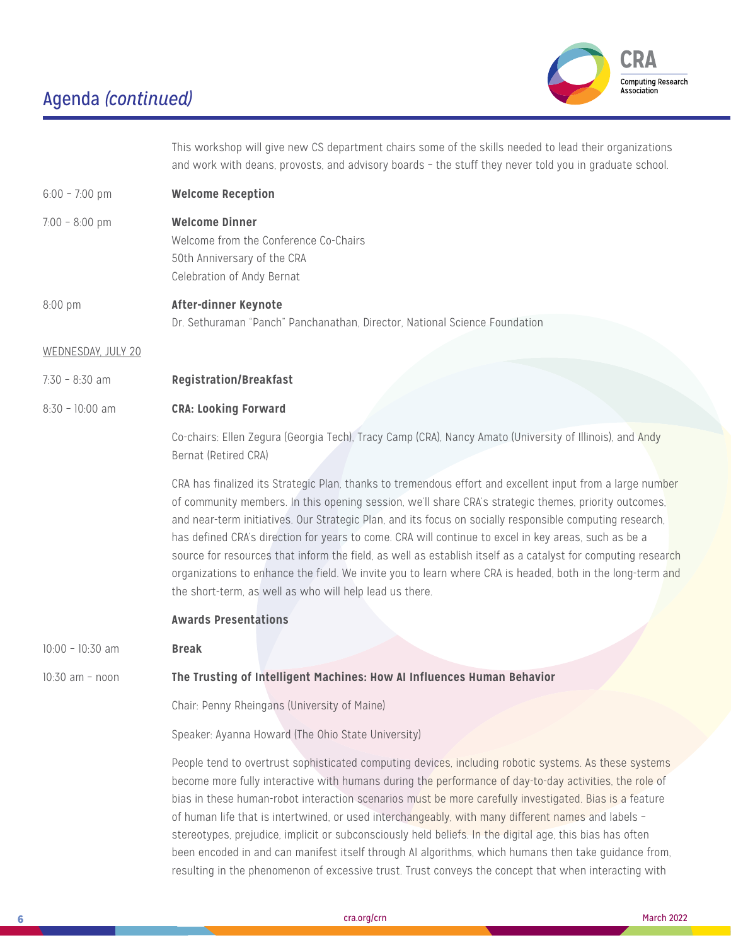

This workshop will give new CS department chairs some of the skills needed to lead their organizations and work with deans, provosts, and advisory boards – the stuff they never told you in graduate school.

- 6:00 7:00 pm **Welcome Reception**
- 7:00 8:00 pm **Welcome Dinner** Welcome from the Conference Co-Chairs 50th Anniversary of the CRA Celebration of Andy Bernat

8:00 pm **After-dinner Keynote** Dr. Sethuraman "Panch" Panchanathan, Director, National Science Foundation

WEDNESDAY, JULY 20

7:30 – 8:30 am **Registration/Breakfast**

#### 8:30 – 10:00 am **CRA: Looking Forward**

Co-chairs: Ellen Zegura (Georgia Tech), Tracy Camp (CRA), Nancy Amato (University of Illinois), and Andy Bernat (Retired CRA)

CRA has finalized its Strategic Plan, thanks to tremendous effort and excellent input from a large number of community members. In this opening session, we'll share CRA's strategic themes, priority outcomes, and near-term initiatives. Our Strategic Plan, and its focus on socially responsible computing research, has defined CRA's direction for years to come. CRA will continue to excel in key areas, such as be a source for resources that inform the field, as well as establish itself as a catalyst for computing research organizations to enhance the field. We invite you to learn where CRA is headed, both in the long-term and the short-term, as well as who will help lead us there.

#### **Awards Presentations**

10:00 – 10:30 am **Break**

#### 10:30 am – noon **The Trusting of Intelligent Machines: How AI Influences Human Behavior**

Chair: Penny Rheingans (University of Maine)

Speaker: Ayanna Howard (The Ohio State University)

People tend to overtrust sophisticated computing devices, including robotic systems. As these systems become more fully interactive with humans during the performance of day-to-day activities, the role of bias in these human-robot interaction scenarios must be more carefully investigated. Bias is a feature of human life that is intertwined, or used interchangeably, with many different names and labels – stereotypes, prejudice, implicit or subconsciously held beliefs. In the digital age, this bias has often been encoded in and can manifest itself through AI algorithms, which humans then take guidance from, resulting in the phenomenon of excessive trust. Trust conveys the concept that when interacting with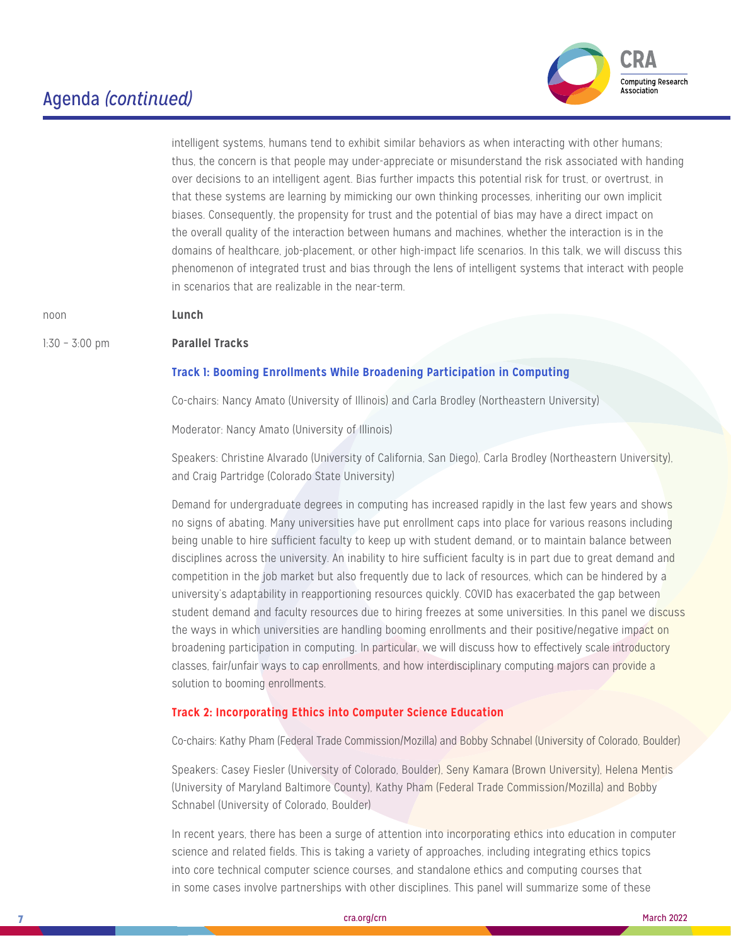

intelligent systems, humans tend to exhibit similar behaviors as when interacting with other humans; thus, the concern is that people may under-appreciate or misunderstand the risk associated with handing over decisions to an intelligent agent. Bias further impacts this potential risk for trust, or overtrust, in that these systems are learning by mimicking our own thinking processes, inheriting our own implicit biases. Consequently, the propensity for trust and the potential of bias may have a direct impact on the overall quality of the interaction between humans and machines, whether the interaction is in the domains of healthcare, job-placement, or other high-impact life scenarios. In this talk, we will discuss this phenomenon of integrated trust and bias through the lens of intelligent systems that interact with people in scenarios that are realizable in the near-term.

noon **Lunch**

#### 1:30 – 3:00 pm **Parallel Tracks**

#### **Track 1: Booming Enrollments While Broadening Participation in Computing**

Co-chairs: Nancy Amato (University of Illinois) and Carla Brodley (Northeastern University)

Moderator: Nancy Amato (University of Illinois)

Speakers: Christine Alvarado (University of California, San Diego), Carla Brodley (Northeastern University), and Craig Partridge (Colorado State University)

Demand for undergraduate degrees in computing has increased rapidly in the last few years and shows no signs of abating. Many universities have put enrollment caps into place for various reasons including being unable to hire sufficient faculty to keep up with student demand, or to maintain balance between disciplines across the university. An inability to hire sufficient faculty is in part due to great demand and competition in the job market but also frequently due to lack of resources, which can be hindered by a university's adaptability in reapportioning resources quickly. COVID has exacerbated the gap between student demand and faculty resources due to hiring freezes at some universities. In this panel we discuss the ways in which universities are handling booming enrollments and their positive/negative impact on broadening participation in computing. In particular, we will discuss how to effectively scale introductory [classes, fair/unfair ways to cap enrollments, and how interdisciplinary computing majors can provide a](http://)  [solution to booming enrollments.](http://)

#### **Track 2: Incorporating Ethics into Computer Science Education**

Co-chairs: Kathy Pham (Federal Trade Commission/Mozilla) and Bobby Schnabel (University of Colorado, Boulder)

Speakers: Casey Fiesler (University of Colorado, Boulder), Seny Kamara (Brown University), Helena Mentis (University of Maryland Baltimore County), Kathy Pham (Federal Trade Commission/Mozilla) and Bobby Schnabel (University of Colorado, Boulder)

In recent years, there has been a surge of attention into incorporating ethics into education in computer science and related fields. This is taking a variety of approaches, including integrating ethics topics into core technical computer science courses, and standalone ethics and computing courses that in some cases involve partnerships with other disciplines. This panel will summarize some of these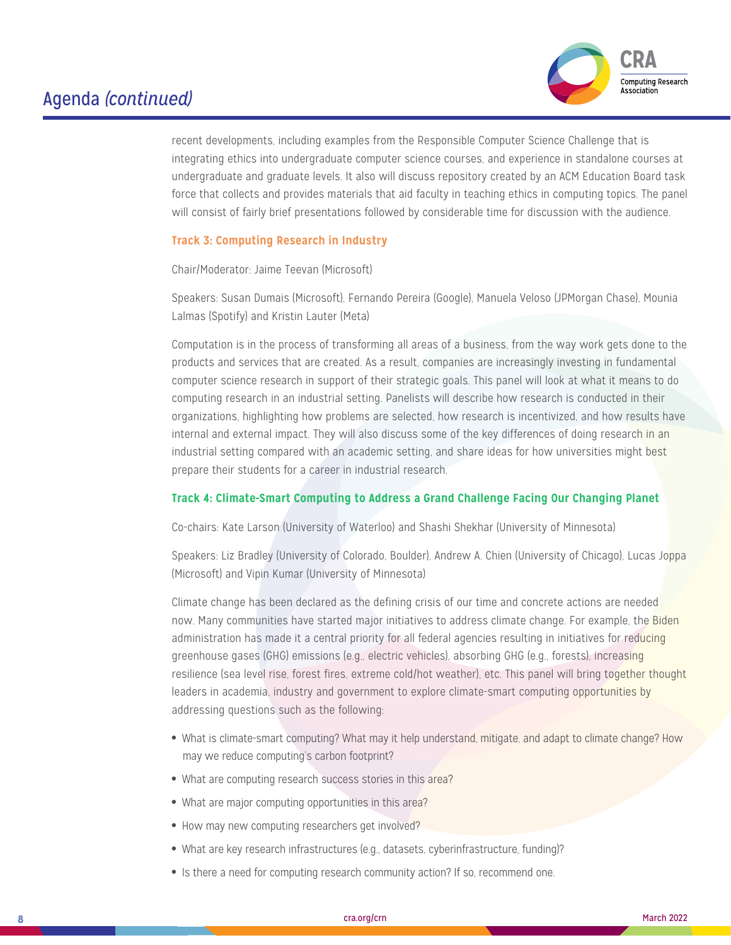

recent developments, including examples from the Responsible Computer Science Challenge that is integrating ethics into undergraduate computer science courses, and experience in standalone courses at undergraduate and graduate levels. It also will discuss repository created by an ACM Education Board task force that collects and provides materials that aid faculty in teaching ethics in computing topics. The panel will consist of fairly brief presentations followed by considerable time for discussion with the audience.

#### **Track 3: Computing Research in Industry**

Chair/Moderator: Jaime Teevan (Microsoft)

Speakers: Susan Dumais (Microsoft), Fernando Pereira (Google), Manuela Veloso (JPMorgan Chase), Mounia Lalmas (Spotify) and Kristin Lauter (Meta)

Computation is in the process of transforming all areas of a business, from the way work gets done to the products and services that are created. As a result, companies are increasingly investing in fundamental computer science research in support of their strategic goals. This panel will look at what it means to do computing research in an industrial setting. Panelists will describe how research is conducted in their organizations, highlighting how problems are selected, how research is incentivized, and how results have internal and external impact. They will also discuss some of the key differences of doing research in an industrial setting compared with an academic setting, and share ideas for how universities might best prepare their students for a career in industrial research.

#### **Track 4: Climate-Smart Computing to Address a Grand Challenge Facing Our Changing Planet**

Co-chairs: Kate Larson (University of Waterloo) and Shashi Shekhar (University of Minnesota)

Speakers: Liz Bradley (University of Colorado, Boulder), Andrew A. Chien (University of Chicago), Lucas Joppa (Microsoft) and Vipin Kumar (University of Minnesota)

Climate change has been declared as the defining crisis of our time and concrete actions are needed now. Many communities have started major initiatives to address climate change. For example, the Biden administration has made it a central priority for all federal agencies resulting in initiatives for reducing greenhouse gases (GHG) emissions (e.g., electric vehicles), absorbing GHG (e.g., forests), increasing resilience (sea level rise, forest fires, extreme cold/hot weather), etc. This panel will bring together thought leaders in academia, industry and government to explore climate-smart computing opportunities by addressing questions such as the following:

- What is climate-smart computing? What may it help understand, mitigate, and adapt to climate change? How may we reduce computing's carbon footprint?
- What are computing research success stories in this area?
- What are major computing opportunities in this area?
- How may new computing researchers get involved?
- What are key research infrastructures (e.g., datasets, cyberinfrastructure, funding)?
- Is there a need for computing research community action? If so, recommend one.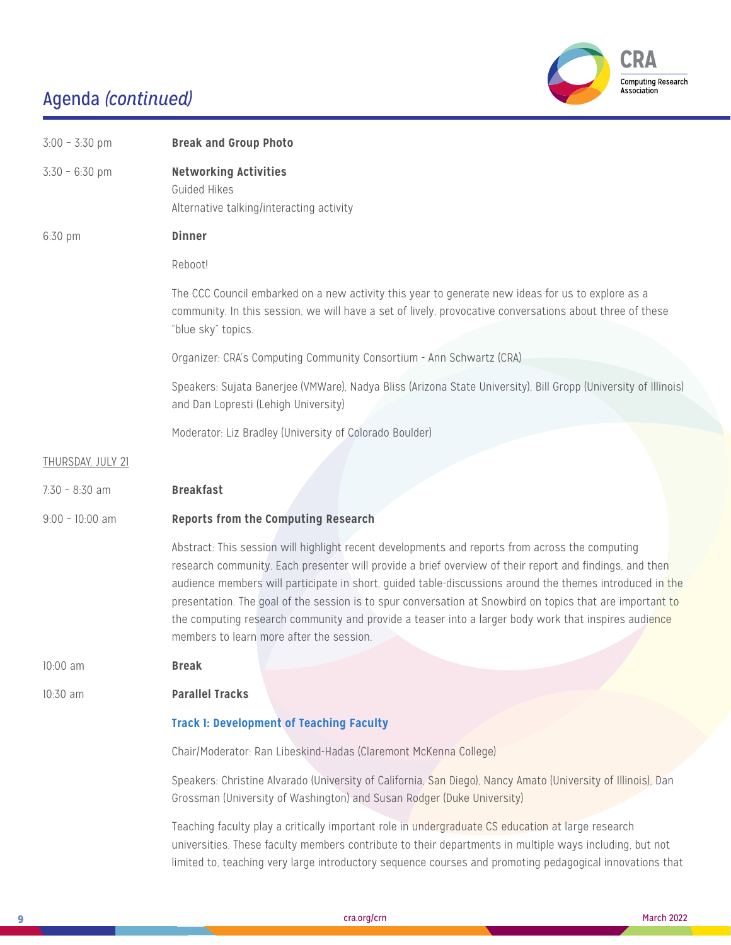

| $3:00 - 3:30$ pm         | <b>Break and Group Photo</b>                                                                                                                                                                                                                                                                                                                                                                                                                                                                                                                                                            |
|--------------------------|-----------------------------------------------------------------------------------------------------------------------------------------------------------------------------------------------------------------------------------------------------------------------------------------------------------------------------------------------------------------------------------------------------------------------------------------------------------------------------------------------------------------------------------------------------------------------------------------|
| $3:30 - 6:30$ pm         | <b>Networking Activities</b><br>Guided Hikes<br>Alternative talking/interacting activity                                                                                                                                                                                                                                                                                                                                                                                                                                                                                                |
| 6:30 pm                  | <b>Dinner</b>                                                                                                                                                                                                                                                                                                                                                                                                                                                                                                                                                                           |
|                          | Reboot!                                                                                                                                                                                                                                                                                                                                                                                                                                                                                                                                                                                 |
|                          | The CCC Council embarked on a new activity this year to generate new ideas for us to explore as a<br>community. In this session, we will have a set of lively, provocative conversations about three of these<br>"blue sky" topics.                                                                                                                                                                                                                                                                                                                                                     |
|                          | Organizer: CRA's Computing Community Consortium - Ann Schwartz (CRA)                                                                                                                                                                                                                                                                                                                                                                                                                                                                                                                    |
|                          | Speakers: Sujata Banerjee (VMWare), Nadya Bliss (Arizona State University), Bill Gropp (University of Illinois)<br>and Dan Lopresti (Lehigh University)                                                                                                                                                                                                                                                                                                                                                                                                                                 |
|                          | Moderator: Liz Bradley (University of Colorado Boulder)                                                                                                                                                                                                                                                                                                                                                                                                                                                                                                                                 |
| <b>THURSDAY, JULY 21</b> |                                                                                                                                                                                                                                                                                                                                                                                                                                                                                                                                                                                         |
| $7:30 - 8:30$ am         | <b>Breakfast</b>                                                                                                                                                                                                                                                                                                                                                                                                                                                                                                                                                                        |
| $9:00 - 10:00$ am        | <b>Reports from the Computing Research</b>                                                                                                                                                                                                                                                                                                                                                                                                                                                                                                                                              |
|                          | Abstract: This session will highlight recent developments and reports from across the computing<br>research community. Each presenter will provide a brief overview of their report and findings, and then<br>audience members will participate in short, guided table-discussions around the themes introduced in the<br>presentation. The goal of the session is to spur conversation at Snowbird on topics that are important to<br>the computing research community and provide a teaser into a larger body work that inspires audience<br>members to learn more after the session. |
| 10:00 am                 | <b>Break</b>                                                                                                                                                                                                                                                                                                                                                                                                                                                                                                                                                                            |
| 10:30 am                 | <b>Parallel Tracks</b>                                                                                                                                                                                                                                                                                                                                                                                                                                                                                                                                                                  |
|                          | <b>Track 1: Development of Teaching Faculty</b>                                                                                                                                                                                                                                                                                                                                                                                                                                                                                                                                         |
|                          | Chair/Moderator: Ran Libeskind-Hadas (Claremont McKenna College)                                                                                                                                                                                                                                                                                                                                                                                                                                                                                                                        |
|                          | Speakers: Christine Alvarado (University of California, San Diego), Nancy Amato (University of Illinois), Dan<br>Grossman (University of Washington) and Susan Rodger (Duke University)                                                                                                                                                                                                                                                                                                                                                                                                 |
|                          | Teaching faculty play a critically important role in undergraduate CS education at large research                                                                                                                                                                                                                                                                                                                                                                                                                                                                                       |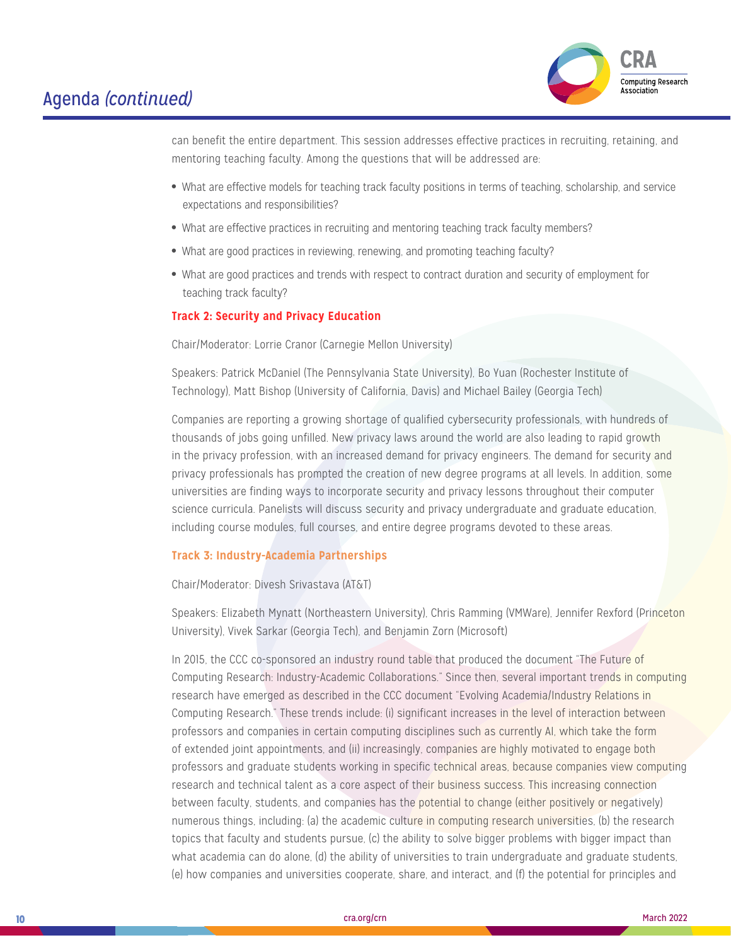

can benefit the entire department. This session addresses effective practices in recruiting, retaining, and mentoring teaching faculty. Among the questions that will be addressed are:

- What are effective models for teaching track faculty positions in terms of teaching, scholarship, and service expectations and responsibilities?
- What are effective practices in recruiting and mentoring teaching track faculty members?
- What are good practices in reviewing, renewing, and promoting teaching faculty?
- What are good practices and trends with respect to contract duration and security of employment for teaching track faculty?

#### **Track 2: Security and Privacy Education**

Chair/Moderator: Lorrie Cranor (Carnegie Mellon University)

Speakers: Patrick McDaniel (The Pennsylvania State University), Bo Yuan (Rochester Institute of Technology), Matt Bishop (University of California, Davis) and Michael Bailey (Georgia Tech)

Companies are reporting a growing shortage of qualified cybersecurity professionals, with hundreds of thousands of jobs going unfilled. New privacy laws around the world are also leading to rapid growth in the privacy profession, with an increased demand for privacy engineers. The demand for security and privacy professionals has prompted the creation of new degree programs at all levels. In addition, some universities are finding ways to incorporate security and privacy lessons throughout their computer science curricula. Panelists will discuss security and privacy undergraduate and graduate education, including course modules, full courses, and entire degree programs devoted to these areas.

#### **Track 3: Industry-Academia Partnerships**

Chair/Moderator: Divesh Srivastava (AT&T)

Speakers: Elizabeth Mynatt (Northeastern University), Chris Ramming (VMWare), Jennifer Rexford (Princeton University), Vivek Sarkar (Georgia Tech), and Benjamin Zorn (Microsoft)

In 2015, the CCC co-sponsored an industry round table that produced the document "The Future of Computing Research: Industry-Academic Collaborations." Since then, several important trends in computing research have emerged as described in the CCC document "Evolving Academia/Industry Relations in Computing Research." These trends include: (i) significant increases in the level of interaction between professors and companies in certain computing disciplines such as currently AI, which take the form of extended joint appointments, and (ii) increasingly, companies are highly motivated to engage both professors and graduate students working in specific technical areas, because companies view computing research and technical talent as a core aspect of their business success. This increasing connection between faculty, students, and companies has the potential to change (either positively or negatively) numerous things, including: (a) the academic culture in computing research universities, (b) the research topics that faculty and students pursue, (c) the ability to solve bigger problems with bigger impact than what academia can do alone, (d) the ability of universities to train undergraduate and graduate students, (e) how companies and universities cooperate, share, and interact, and (f) the potential for principles and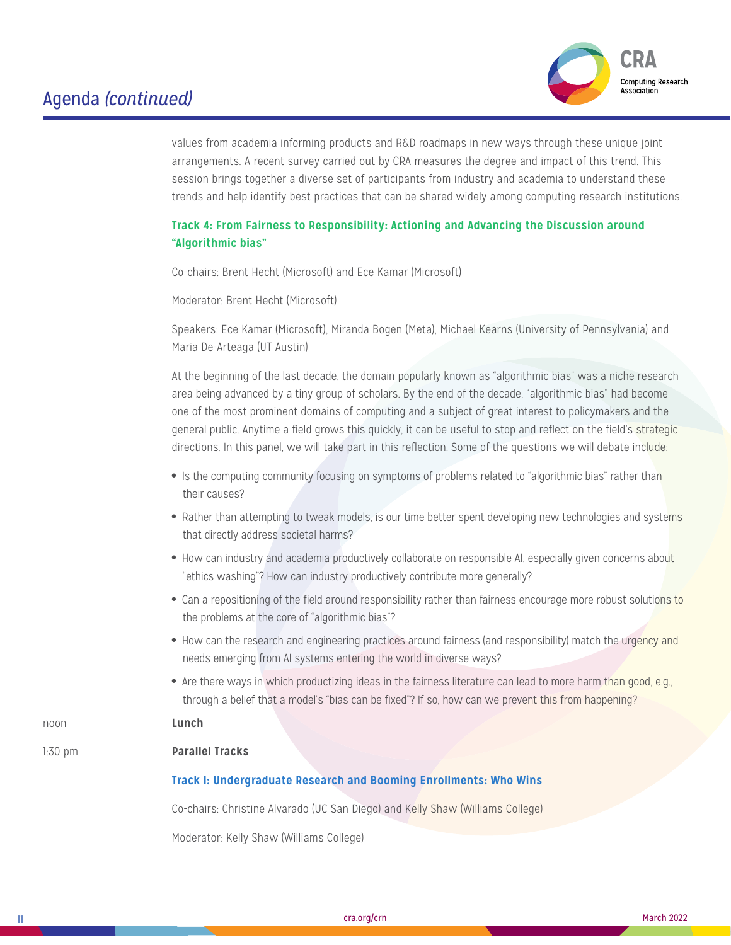

values from academia informing products and R&D roadmaps in new ways through these unique joint arrangements. A recent survey carried out by CRA measures the degree and impact of this trend. This session brings together a diverse set of participants from industry and academia to understand these trends and help identify best practices that can be shared widely among computing research institutions.

### **Track 4: From Fairness to Responsibility: Actioning and Advancing the Discussion around "Algorithmic bias"**

Co-chairs: Brent Hecht (Microsoft) and Ece Kamar (Microsoft)

Moderator: Brent Hecht (Microsoft)

Speakers: Ece Kamar (Microsoft), Miranda Bogen (Meta), Michael Kearns (University of Pennsylvania) and Maria De-Arteaga (UT Austin)

At the beginning of the last decade, the domain popularly known as "algorithmic bias" was a niche research area being advanced by a tiny group of scholars. By the end of the decade, "algorithmic bias" had become one of the most prominent domains of computing and a subject of great interest to policymakers and the general public. Anytime a field grows this quickly, it can be useful to stop and reflect on the field's strategic directions. In this panel, we will take part in this reflection. Some of the questions we will debate include:

- Is the computing community focusing on symptoms of problems related to "algorithmic bias" rather than their causes?
- Rather than attempting to tweak models, is our time better spent developing new technologies and systems that directly address societal harms?
- How can industry and academia productively collaborate on responsible AI, especially given concerns about "ethics washing"? How can industry productively contribute more generally?
- Can a repositioning of the field around responsibility rather than fairness encourage more robust solutions to the problems at the core of "algorithmic bias"?
- How can the research and engineering practices around fairness (and responsibility) match the urgency and needs emerging from AI systems entering the world in diverse ways?
- Are there ways in which productizing ideas in the fairness literature can lead to more harm than good, e.g., through a belief that a model's "bias can be fixed"? If so, how can we prevent this from happening?

### noon **Lunch**

#### 1:30 pm **Parallel Tracks**

#### **Track 1: Undergraduate Research and Booming Enrollments: Who Wins**

Co-chairs: Christine Alvarado (UC San Diego) and Kelly Shaw (Williams College)

Moderator: Kelly Shaw (Williams College)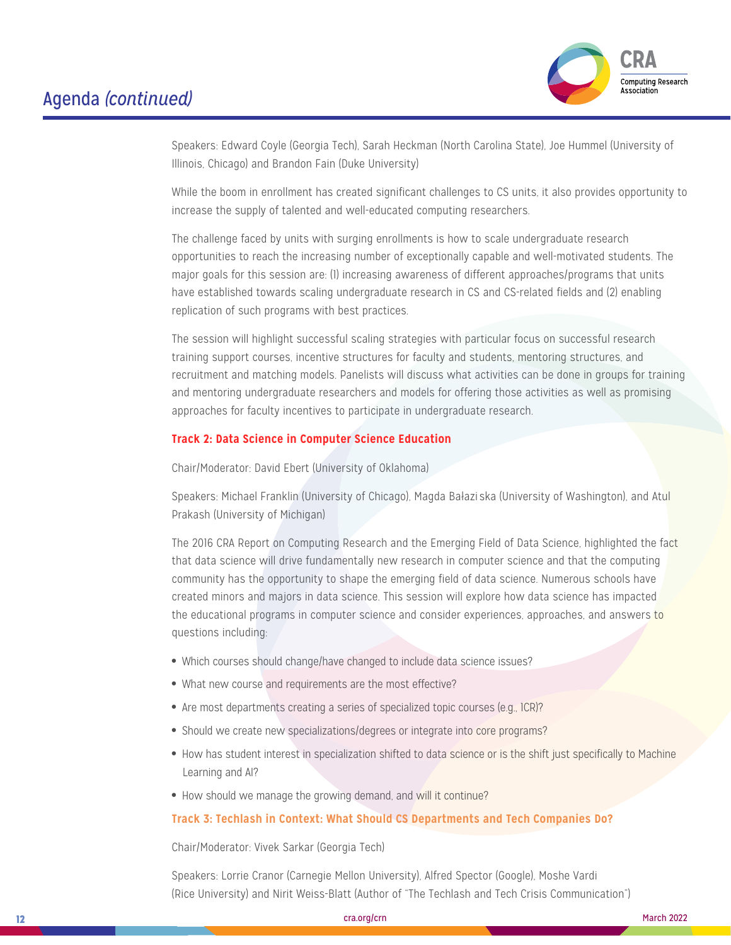

Speakers: Edward Coyle (Georgia Tech), Sarah Heckman (North Carolina State), Joe Hummel (University of Illinois, Chicago) and Brandon Fain (Duke University)

While the boom in enrollment has created significant challenges to CS units, it also provides opportunity to increase the supply of talented and well-educated computing researchers.

The challenge faced by units with surging enrollments is how to scale undergraduate research opportunities to reach the increasing number of exceptionally capable and well-motivated students. The major goals for this session are: (1) increasing awareness of different approaches/programs that units have established towards scaling undergraduate research in CS and CS-related fields and (2) enabling replication of such programs with best practices.

The session will highlight successful scaling strategies with particular focus on successful research training support courses, incentive structures for faculty and students, mentoring structures, and recruitment and matching models. Panelists will discuss what activities can be done in groups for training and mentoring undergraduate researchers and models for offering those activities as well as promising approaches for faculty incentives to participate in undergraduate research.

#### **Track 2: Data Science in Computer Science Education**

Chair/Moderator: David Ebert (University of Oklahoma)

Speakers: Michael Franklin (University of Chicago), Magda Bałaziska (University of Washington), and Atul Prakash (University of Michigan)

The 2016 CRA Report on Computing Research and the Emerging Field of Data Science, highlighted the fact that data science will drive fundamentally new research in computer science and that the computing community has the opportunity to shape the emerging field of data science. Numerous schools have created minors and majors in data science. This session will explore how data science has impacted the educational programs in computer science and consider experiences, approaches, and answers to questions including:

- Which courses should change/have changed to include data science issues?
- What new course and requirements are the most effective?
- Are most departments creating a series of specialized topic courses (e.g., 1CR)?
- Should we create new specializations/degrees or integrate into core programs?
- How has student interest in specialization shifted to data science or is the shift just specifically to Machine Learning and AI?
- How should we manage the growing demand, and will it continue?

#### **Track 3: Techlash in Context: What Should CS Departments and Tech Companies Do?**

Chair/Moderator: Vivek Sarkar (Georgia Tech)

Speakers: Lorrie Cranor (Carnegie Mellon University), Alfred Spector (Google), Moshe Vardi (Rice University) and Nirit Weiss-Blatt (Author of "The Techlash and Tech Crisis Communication")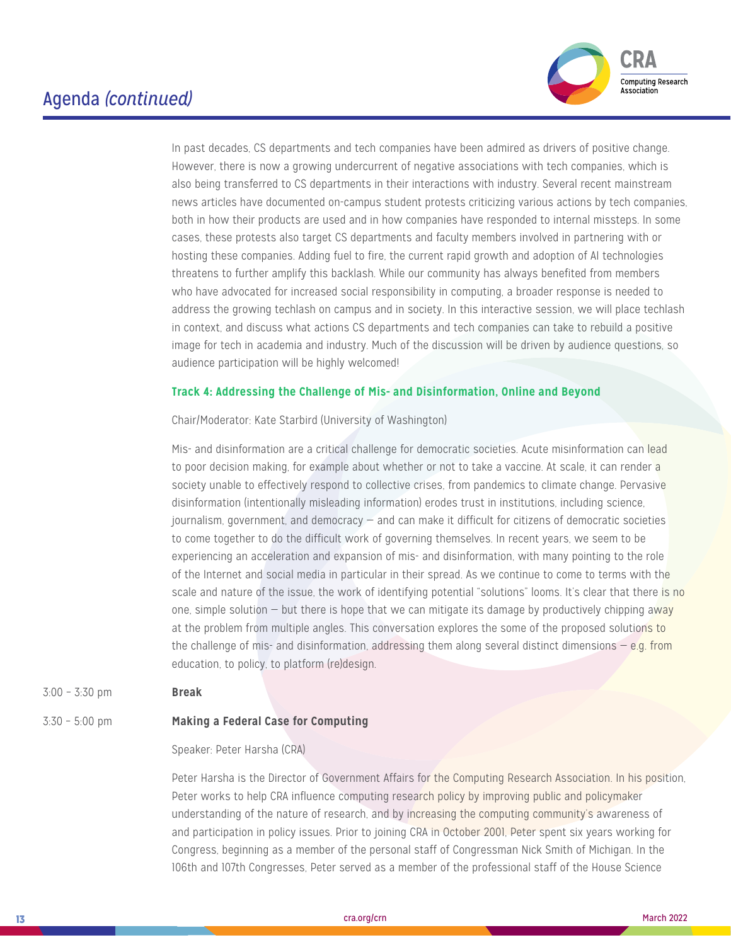

In past decades, CS departments and tech companies have been admired as drivers of positive change. However, there is now a growing undercurrent of negative associations with tech companies, which is also being transferred to CS departments in their interactions with industry. Several recent mainstream news articles have documented on-campus student protests criticizing various actions by tech companies, both in how their products are used and in how companies have responded to internal missteps. In some cases, these protests also target CS departments and faculty members involved in partnering with or hosting these companies. Adding fuel to fire, the current rapid growth and adoption of AI technologies threatens to further amplify this backlash. While our community has always benefited from members who have advocated for increased social responsibility in computing, a broader response is needed to address the growing techlash on campus and in society. In this interactive session, we will place techlash in context, and discuss what actions CS departments and tech companies can take to rebuild a positive image for tech in academia and industry. Much of the discussion will be driven by audience questions, so audience participation will be highly welcomed!

#### **Track 4: Addressing the Challenge of Mis- and Disinformation, Online and Beyond**

Chair/Moderator: Kate Starbird (University of Washington)

Mis- and disinformation are a critical challenge for democratic societies. Acute misinformation can lead to poor decision making, for example about whether or not to take a vaccine. At scale, it can render a society unable to effectively respond to collective crises, from pandemics to climate change. Pervasive disinformation (intentionally misleading information) erodes trust in institutions, including science, journalism, government, and democracy — and can make it difficult for citizens of democratic societies to come together to do the difficult work of governing themselves. In recent years, we seem to be experiencing an acceleration and expansion of mis- and disinformation, with many pointing to the role of the Internet and social media in particular in their spread. As we continue to come to terms with the scale and nature of the issue, the work of identifying potential "solutions" looms. It's clear that there is no one, simple solution  $-$  but there is hope that we can mitigate its damage by productively chipping away at the problem from multiple angles. This conversation explores the some of the proposed solutions to the challenge of mis- and disinformation, addressing them along several distinct dimensions  $-$  e.g. from education, to policy, to platform (re)design.

3:00 – 3:30 pm **Break**

#### 3:30 – 5:00 pm **Making a Federal Case for Computing**

#### Speaker: Peter Harsha (CRA)

Peter Harsha is the Director of Government Affairs for the Computing Research Association. In his position, Peter works to help CRA influence computing research policy by improving public and policymaker understanding of the nature of research, and by increasing the computing community's awareness of and participation in policy issues. Prior to joining CRA in October 2001, Peter spent six years working for Congress, beginning as a member of the personal staff of Congressman Nick Smith of Michigan. In the 106th and 107th Congresses, Peter served as a member of the professional staff of the House Science